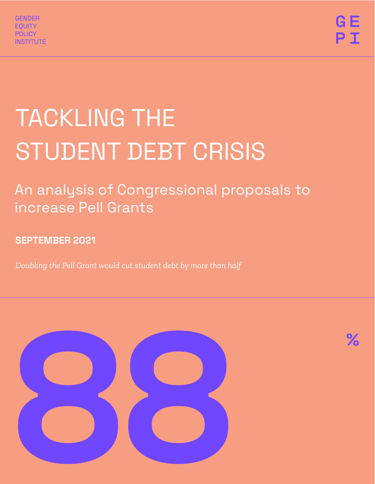

# TACKLING THE STUDENT DEBT CRISIS

# An analysis of Congressional proposals to increase Pell Grants

# SEPTEMBER 2021

*Doubling the Pell Grant would cut student debt by more than half*

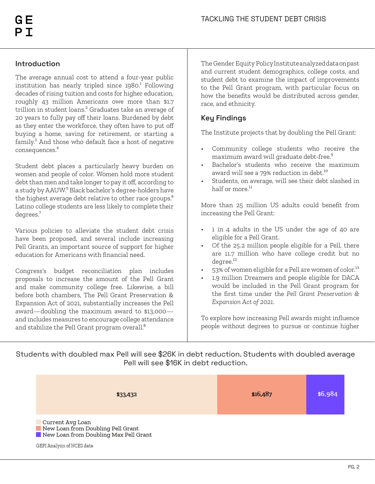#### **Introduction**

The average annual cost to attend a four-year public institution has nearly tripled since  $1980^1$  Following decades of rising tuition and costs for higher education, roughly 43 million Americans owe more than \$1.7 trillion in student loans.² Graduates take an average of 20 years to fully pay off their loans. Burdened by debt as they enter the workforce, they often have to put off buying a home, saving for retirement, or starting a family.<sup>3</sup> And those who default face a host of negative consequences.<sup>4</sup>

Student debt places a particularly heavy burden on women and people of color. Women hold more student debt than men and take longer to pay it off, according to a study by AAUW.<sup>5</sup> Black bachelor's degree-holders have the highest average debt relative to other race groups.<sup>6</sup> Latino college students are less likely to complete their degrees.<sup>7</sup>

Various policies to alleviate the student debt crisis have been proposed, and several include increasing Pell Grants, an important source of support for higher education for Americans with financial need.

Congress's budget reconciliation plan includes proposals to increase the amount of the Pell Grant and make community college free. Likewise, a bill before both chambers, The Pell Grant Preservation & Expansion Act of 2021, substantially increases the Pell award—doubling the maximum award to \$13,000 and includes measures to encourage college attendance and stabilize the Pell Grant program overall.<sup>8</sup>

The Gender Equity Policy Institute analyzed data on past and current student demographics, college costs, and student debt to examine the impact of improvements to the Pell Grant program, with particular focus on how the benefits would be distributed across gender, race, and ethnicity.

#### **Key Findings**

The Institute projects that by doubling the Pell Grant:

- Community college students who receive the maximum award will graduate debt-free.<sup>9</sup>
- Bachelor's students who receive the maximum award will see a 79% reduction in debt.<sup>10</sup>
- Students, on average, will see their debt slashed in half or more. $<sup>11</sup>$ </sup>

More than 25 million US adults could benefit from increasing the Pell Grant:

- 1 in 4 adults in the US under the age of 40 are eligible for a Pell Grant.
- Of the 25.2 million people eligible for a Pell, there are 11.7 million who have college credit but no degree.<sup>12</sup>
- 53% of women eligible for a Pell are women of color.<sup>13</sup>
- 1.9 million Dreamers and people eligible for DACA would be included in the Pell Grant program for the first time under the *Pell Grant Preservation & Expansion Act of 2021*.

To explore how increasing Pell awards might influence people without degrees to pursue or continue higher

Students with doubled max Pell will see \$26K in debt reduction. Students with doubled average Pell will see \$16K in debt reduction.

| \$33,432                                                                                                                     | \$16,487 | \$6,984 |
|------------------------------------------------------------------------------------------------------------------------------|----------|---------|
| Current Avg Loan<br>New Loan from Doubling Pell Grant<br>New Loan from Doubling Max Pell Grant<br>GEPI Analysis of NCES data |          |         |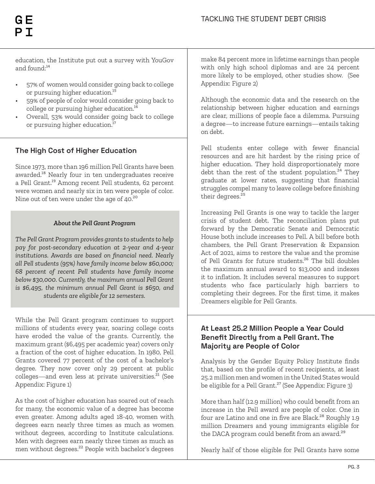education, the Institute put out a survey with YouGov and found: $14$ 

- 57% of women would consider going back to college or pursuing higher education.<sup>15</sup>
- 59% of people of color would consider going back to college or pursuing higher education. $^{16}$
- Overall, 53% would consider going back to college or pursuing higher education.<sup>17</sup>

#### **The High Cost of Higher Education**

Since 1973, more than 196 million Pell Grants have been awarded.<sup>18</sup> Nearly four in ten undergraduates receive a Pell Grant.<sup>19</sup> Among recent Pell students, 62 percent were women and nearly six in ten were people of color. Nine out of ten were under the age of 40.<sup>20</sup>

#### *About the Pell Grant Program*

*The Pell Grant Program provides grants to students to help pay for post-secondary education at 2-year and 4-year institutions. Awards are based on financial need. Nearly all Pell students (95%) have family income below \$60,000; 68 percent of recent Pell students have family income below \$30,000. Currently, the maximum annual Pell Grant is \$6,495, the minimum annual Pell Grant is \$650, and students are eligible for 12 semesters.*

While the Pell Grant program continues to support millions of students every year, soaring college costs have eroded the value of the grants. Currently, the maximum grant (\$6,495 per academic year) covers only a fraction of the cost of higher education. In 1980, Pell Grants covered 77 percent of the cost of a bachelor's degree. They now cover only 29 percent at public  $\frac{1}{2}$  colleges—and even less at private universities.<sup>21</sup> (See Appendix: Figure 1)

As the cost of higher education has soared out of reach for many, the economic value of a degree has become even greater. Among adults aged 18-40, women with degrees earn nearly three times as much as women without degrees, according to Institute calculations. Men with degrees earn nearly three times as much as men without degrees.²² People with bachelor's degrees

make 84 percent more in lifetime earnings than people with only high school diplomas and are 24 percent more likely to be employed, other studies show. (See Appendix: Figure 2)

Although the economic data and the research on the relationship between higher education and earnings are clear, millions of people face a dilemma. Pursuing a degree—to increase future earnings—entails taking on debt.

Pell students enter college with fewer financial resources and are hit hardest by the rising price of higher education. They hold disproportionately more debt than the rest of the student population. $24$  They graduate at lower rates, suggesting that financial struggles compel many to leave college before finishing their degrees.<sup>25</sup>

Increasing Pell Grants is one way to tackle the larger crisis of student debt. The reconciliation plans put forward by the Democratic Senate and Democratic House both include increases to Pell. A bill before both chambers, the Pell Grant Preservation & Expansion Act of 2021, aims to restore the value and the promise of Pell Grants for future students.<sup>26</sup> The bill doubles the maximum annual award to \$13,000 and indexes it to inflation. It includes several measures to support students who face particularly high barriers to completing their degrees. For the first time, it makes Dreamers eligible for Pell Grants.

#### **At Least 25.2 Million People a Year Could Benefit Directly from a Pell Grant. The Majority are People of Color**

Analysis by the Gender Equity Policy Institute finds that, based on the profile of recent recipients, at least 25.2 million men and women in the United States would be eligible for a Pell Grant.<sup>27</sup> (See Appendix: Figure 3)

More than half (12.9 million) who could benefit from an increase in the Pell award are people of color. One in four are Latino and one in five are Black.<sup>28</sup> Roughly 1.9 million Dreamers and young immigrants eligible for the DACA program could benefit from an award.<sup>29</sup>

Nearly half of those eligible for Pell Grants have some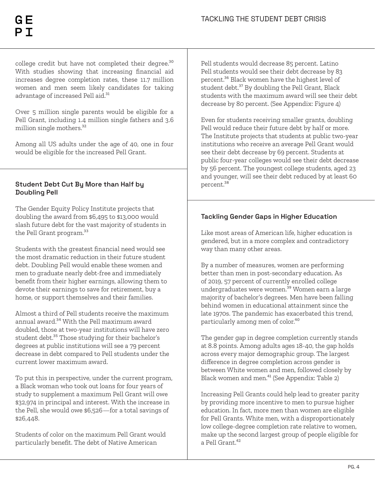college credit but have not completed their degree. $^{\rm 30}$ With studies showing that increasing financial aid increases degree completion rates, these 11.7 million women and men seem likely candidates for taking advantage of increased Pell aid. $31$ 

Over 5 million single parents would be eligible for a Pell Grant, including 1.4 million single fathers and 3.6 million single mothers.<sup>32</sup>

Among all US adults under the age of 40, one in four would be eligible for the increased Pell Grant.

#### **Student Debt Cut By More than Half by Doubling Pell**

The Gender Equity Policy Institute projects that doubling the award from \$6,495 to \$13,000 would slash future debt for the vast majority of students in the Pell Grant program.<sup>33</sup>

Students with the greatest financial need would see the most dramatic reduction in their future student debt. Doubling Pell would enable these women and men to graduate nearly debt-free and immediately benefit from their higher earnings, allowing them to devote their earnings to save for retirement, buy a home, or support themselves and their families.

Almost a third of Pell students receive the maximum annual award.<sup>34</sup> With the Pell maximum award doubled, those at two-year institutions will have zero student debt.<sup>35</sup> Those studying for their bachelor's degrees at public institutions will see a 79 percent decrease in debt compared to Pell students under the current lower maximum award.

To put this in perspective, under the current program, a Black woman who took out loans for four years of study to supplement a maximum Pell Grant will owe \$32,974 in principal and interest. With the increase in the Pell, she would owe \$6,526—for a total savings of \$26,448.

Students of color on the maximum Pell Grant would particularly benefit. The debt of Native American

Pell students would decrease 85 percent. Latino Pell students would see their debt decrease by 83 percent.<sup>36</sup> Black women have the highest level of student debt.<sup>37</sup> By doubling the Pell Grant, Black students with the maximum award will see their debt decrease by 80 percent. (See Appendix: Figure 4)

Even for students receiving smaller grants, doubling Pell would reduce their future debt by half or more. The Institute projects that students at public two-year institutions who receive an average Pell Grant would see their debt decrease by 69 percent. Students at public four-year colleges would see their debt decrease by 56 percent. The youngest college students, aged 23 and younger, will see their debt reduced by at least 60 percent.<sup>38</sup>

#### **Tackling Gender Gaps in Higher Education**

Like most areas of American life, higher education is gendered, but in a more complex and contradictory way than many other areas.

By a number of measures, women are performing better than men in post-secondary education. As of 2019, 57 percent of currently enrolled college undergraduates were women. $\overline{\overline{\overline{\overline{3}}}}$  Women earn a large majority of bachelor's degrees. Men have been falling behind women in educational attainment since the late 1970s. The pandemic has exacerbated this trend, particularly among men of color.<sup>40</sup>

The gender gap in degree completion currently stands at 8.8 points. Among adults ages 18-40, the gap holds across every major demographic group. The largest difference in degree completion across gender is between White women and men, followed closely by Black women and men.<sup>41</sup> (See Appendix: Table 2)

Increasing Pell Grants could help lead to greater parity by providing more incentive to men to pursue higher education. In fact, more men than women are eligible for Pell Grants. White men, with a disproportionately low college-degree completion rate relative to women, make up the second largest group of people eligible for a Pell Grant.<sup>42</sup>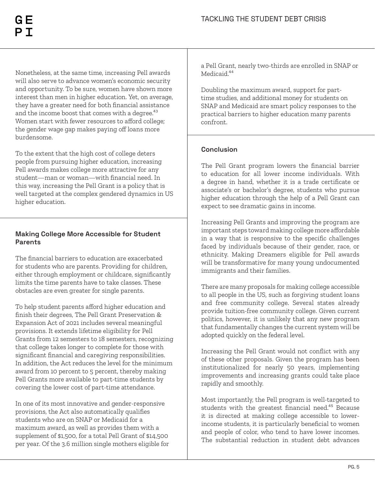Nonetheless, at the same time, increasing Pell awards will also serve to advance women's economic security and opportunity. To be sure, women have shown more interest than men in higher education. Yet, on average, they have a greater need for both financial assistance and the income boost that comes with a degree.<sup>43</sup> Women start with fewer resources to afford college; the gender wage gap makes paying off loans more burdensome.

To the extent that the high cost of college deters people from pursuing higher education, increasing Pell awards makes college more attractive for any student—man or woman—with financial need. In this way, increasing the Pell Grant is a policy that is well targeted at the complex gendered dynamics in US higher education.

#### **Making College More Accessible for Student Parents**

The financial barriers to education are exacerbated for students who are parents. Providing for children, either through employment or childcare, significantly limits the time parents have to take classes. These obstacles are even greater for single parents.

To help student parents afford higher education and finish their degrees, The Pell Grant Preservation & Expansion Act of 2021 includes several meaningful provisions. It extends lifetime eligibility for Pell Grants from 12 semesters to 18 semesters, recognizing that college takes longer to complete for those with significant financial and caregiving responsibilities. In addition, the Act reduces the level for the minimum award from 10 percent to 5 percent, thereby making Pell Grants more available to part-time students by covering the lower cost of part-time attendance.

In one of its most innovative and gender-responsive provisions, the Act also automatically qualifies students who are on SNAP or Medicaid for a maximum award, as well as provides them with a supplement of \$1,500, for a total Pell Grant of \$14,500 per year. Of the 3.6 million single mothers eligible for a Pell Grant, nearly two-thirds are enrolled in SNAP or Medicaid<sup>44</sup>

Doubling the maximum award, support for parttime studies, and additional money for students on SNAP and Medicaid are smart policy responses to the practical barriers to higher education many parents confront.

#### **Conclusion**

The Pell Grant program lowers the financial barrier to education for all lower income individuals. With a degree in hand, whether it is a trade certificate or associate's or bachelor's degree, students who pursue higher education through the help of a Pell Grant can expect to see dramatic gains in income.

Increasing Pell Grants and improving the program are important steps toward making college more affordable in a way that is responsive to the specific challenges faced by individuals because of their gender, race, or ethnicity. Making Dreamers eligible for Pell awards will be transformative for many young undocumented immigrants and their families.

There are many proposals for making college accessible to all people in the US, such as forgiving student loans and free community college. Several states already provide tuition-free community college. Given current politics, however, it is unlikely that any new program that fundamentally changes the current system will be adopted quickly on the federal level.

Increasing the Pell Grant would not conflict with any of these other proposals. Given the program has been institutionalized for nearly 50 years, implementing improvements and increasing grants could take place rapidly and smoothly.

Most importantly, the Pell program is well-targeted to students with the greatest financial need.<sup>45</sup> Because it is directed at making college accessible to lowerincome students, it is particularly beneficial to women and people of color, who tend to have lower incomes. The substantial reduction in student debt advances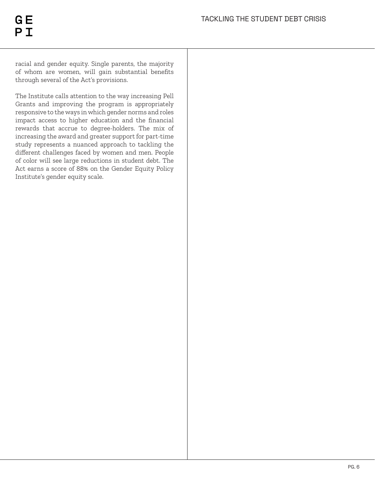racial and gender equity. Single parents, the majority of whom are women, will gain substantial benefits through several of the Act's provisions.

The Institute calls attention to the way increasing Pell Grants and improving the program is appropriately responsive to the ways in which gender norms and roles impact access to higher education and the financial rewards that accrue to degree-holders. The mix of increasing the award and greater support for part-time study represents a nuanced approach to tackling the different challenges faced by women and men. People of color will see large reductions in student debt. The Act earns a score of 88% on the Gender Equity Policy Institute's gender equity scale.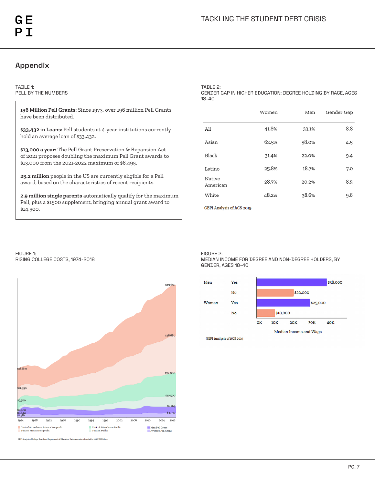#### **Appendix**

#### TABLE 1: PELL BY THE NUMBERS

**196 Million Pell Grants:** Since 1973, over 196 million Pell Grants have been distributed.

**\$33,432 in Loans:** Pell students at 4-year institutions currently hold an average loan of \$33,432.

**\$13,000 a year:** The Pell Grant Preservation & Expansion Act of 2021 proposes doubling the maximum Pell Grant awards to \$13,000 from the 2021-2022 maximum of \$6,495.

**25.2 million** people in the US are currently eligible for a Pell award, based on the characteristics of recent recipients.

**2.9 million single parents** automatically qualify for the maximum Pell, plus a \$1500 supplement, bringing annual grant award to \$14,500.

TABLE 2:

GENDER GAP IN HIGHER EDUCATION: DEGREE HOLDING BY RACE, AGES 18-40

|                    | Women | Men   | Gender Gap |
|--------------------|-------|-------|------------|
| All                | 41.8% | 33.1% | 8.8        |
| Asian              | 62.5% | 58.0% | 4.5        |
| Black              | 31.4% | 22.0% | 9.4        |
| Latino             | 25.8% | 18.7% | 7.0        |
| Native<br>American | 28.7% | 20.2% | 8.5        |
| White              | 48.2% | 38.6% | 9.6        |

GEPI Analysis of ACS 2019

FIGURE 1: RISING COLLEGE COSTS, 1974-2018



FIGURE 2:

MEDIAN INCOME FOR DEGREE AND NON-DEGREE HOLDERS, BY GENDER, AGES 18-40



GEPI Analysis of College Board and Department of Education Data. Amounts calculated to 2020 US Do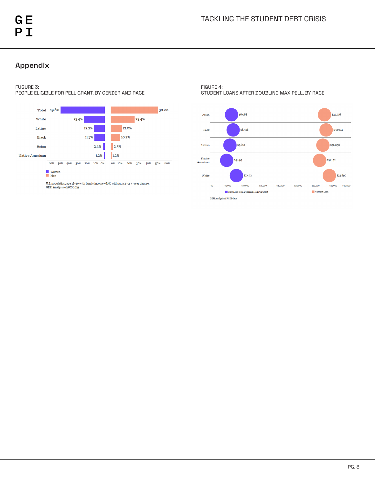#### **Appendix**

#### FUGURE 3:

PEOPLE ELIGIBLE FOR PELL GRANT, BY GENDER AND RACE



### ■ Women<br>■ Men

U.S. population, age 18-40 with family income <br/> <60K, without a $2$ -or 4-year degree. GEPI Analysis of ACS<br/>  $2019\,$ 

FIGURE 4: STUDENT LOANS AFTER DOUBLING MAX PELL, BY RACE

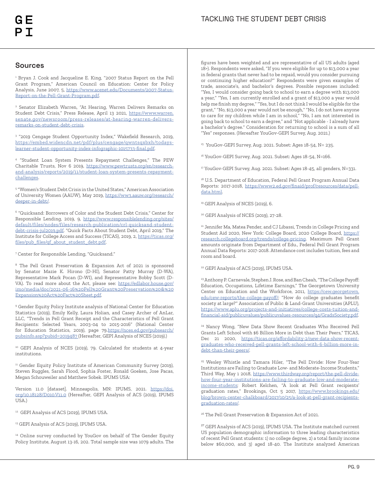#### **Sources**

<sup>1</sup> Bryan J. Cook and Jacqueline E. King, "2007 Status Report on the Pell Grant Program," American Council on Education: Center for Policy Analysis, June 2007, 5, https://www.acenet.edu/Documents/2007-Status-Report-on-the-Pell-Grant-Program.pdf.

2 Senator Elizabeth Warren, "At Hearing, Warren Delivers Remarks on Student Debt Crisis," Press Release, April 13 2021, https://www.warren. senate.gov/newsroom/press-releases/at-hearing-warren-deliversremarks-on-student-debt-crisis.

3 "2019 Cengage Student Opportunity Index," Wakefield Research, 2019, https://embed.widencdn.net/pdf/plus/cengage/qwntsqxbxh/todayslearner-student-opportunity-index-infographic-1015733-final.pdf.

4 "Student Loan System Presents Repayment Challenges," The PEW Charitable Trusts, Nov 6 2019, https://www.pewtrusts.org/en/researchand-analysis/reports/2019/11/student-loan-system-presents-repaymentchallenges.

5 "Women's Student Debt Crisis in the United States," American Association of University Women (AAUW), May 2019, https://ww3.aauw.org/research/ deeper-in-debt/.

6 "Quicksand: Borrowers of Color and the Student Debt Crisis," Center for Responsible Lending, 2019, 9, https://www.responsiblelending.org/sites/ default/files/nodes/files/research-publication/crl-quicksand-studentdebt-crisis-jul2019.pdf. "Quick Facts About Student Debt, April 2019," The Institute for College Access and Success (TICAS), 2019, 2, https://ticas.org/ files/pub\_files/qf\_about\_student\_debt.pdf.

7 Center for Responsible Lending, "Quicksand."

<sup>8</sup> The Pell Grant Preservation & Expansion Act of 2021 is sponsored by Senator Mazie K. Hirono (D-HI), Senator Patty Murray (D-WA), Representative Mark Pocan (D-WI), and Representative Bobby Scott (D-VA). To read more about the Act, please see: https://edlabor.house.gov/ imo/media/doc/2021-06-16%20Pell%20Grant%20Preservation%20&%20 Expansion%20Act%20Fact%20Sheet.pdf.

<sup>9</sup> Gender Equity Policy Institute analysis of National Center for Education Statistics (2019), Emily Kelly, Laura Holian, and Casey Archer of AnLar, LLC, "Trends in Pell Grant Receipt and the Characteristics of Pell Grant Recipients: Selected Years, 2003-04 to 2015-2016" (National Center for Education Statistics, 2019), page 79.https://nces.ed.gov/pubsearch/ pubsinfo.asp?pubid=2019487 (Hereafter, GEPI Analysis of NCES (2019).)

<sup>10</sup> GEPI Analysis of NCES (2019), 79. Calculated for students at 4-year institutions.

<sup>11</sup> Gender Equity Policy Institute of American Community Survey (2019), Steven Ruggles, Sarah Flood, Sophia Foster, Ronald Goeken, Jose Pacas, Megan Schouweiler and Matthew Sobek. IPUMS USA:

Version 11.0 [dataset]. Minneapolis, MN: IPUMS, 2021. https://doi. org/10.18128/D010.V11.0 (Hereafter, GEPI Analysis of ACS (2019), IPUMS USA.)

<sup>12</sup> GEPI Analysis of ACS (2019), IPUMS USA.

<sup>13</sup> GEPI Analysis of ACS (2019), IPUMS USA.

<sup>14</sup> Online survey conducted by YouGov on behalf of The Gender Equity Policy Institute, August 13-16, 202. Total sample size was 1079 adults. The

figures have been weighted and are representative of all US adults (aged 18+). Respondents were asked, "If you were eligible for up to \$13,000 a year in federal grants that never had to be repaid, would you consider pursuing or continuing higher education?" Respondents were given examples of trade, associate's, and bachelor's degrees. Possible responses included: "Yes, I would consider going back to school to earn a degree with \$13,000 a year," "Yes, I am currently enrolled and a grant of \$13,000 a year would help me finish my degree," "Yes, but I do not think I would be eligible for the grant," "No, \$13,000 a year would not be enough," "No, I do not have anyone to care for my children while I am in school," "No, I am not interested in going back to school to earn a degree," and "Not applicable - I already have a bachelor's degree." Consideration for returning to school is a sum of all "Yes" responses. (Hereafter YouGov-GEPI Survey, Aug. 2021.)

<sup>15</sup> YouGov-GEPI Survey, Aug. 2021. Subset: Ages 18-54, N= 235.

<sup>16</sup> YouGov-GEPI Survey, Aug. 2021. Subset: Ages 18-54, N=166.

<sup>17</sup> YouGov-GEPI Survey, Aug. 2021. Subset: Ages 18-45, all genders, N=331.

<sup>18</sup> U.S. Department of Education, Federal Pell Grant Program Annual Data Reports: 2017-2018, https://www2.ed.gov/finaid/prof/resources/data/pelldata.html.

<sup>19</sup> GEPI Analysis of NCES (2019), 6.

<sup>20</sup> GEPI Analysis of NCES (2019), 27-28.

<sup>21</sup> Jennifer Ma, Matea Pender, and CJ Libassi, Trends in College Pricing and Student Aid 2020, New York: College Board, 2020 College Board, https:// research.collegeboard.org/trends/college-pricing. Maximum Pell Grant amounts originate from Department of Edu., Federal Pell Grant Program Annual Data Reports: 2017-2018. Attendance cost includes tuition, fees and room and board.

22 GEPI Analysis of ACS (2019), IPUMS USA.

<sup>23</sup> Anthony P. Carnevale, Stephen J. Rose, and Ban Cheah, "The College Payoff: Education, Occupations, Lifetime Earnings," The Georgetown University Center on Education and the Workforce, 2011, https://cew.georgetown. edu/cew-reports/the-college-payoff/; "How do college graduates benefit society at large?" Association of Public & Land-Grant Universities (APLU), https://www.aplu.org/projects-and-initiatives/college-costs-tuition-andfinancial-aid/publicuvalues/publicuvalues-resources/q4/GradsSociety.pdf.

<sup>24</sup> Nancy Wong, "New Data Show Recent Graduates Who Received Pell Grants Left School with \$6 Billion More in Debt than Their Peers," TICAS, Dec 21 2020, https://ticas.org/affordability-2/new-data-show-recentgraduates-who-received-pell-grants-left-school-with-6-billion-more-indebt-than-their-peers/.

<sup>25</sup> Wesley Whistle and Tamara Hiler, "The Pell Divide: How Four-Year Institutions are Failing to Graduate Low- and Moderate-Income Students," Third Way, May 1 2018, https://www.thirdway.org/report/the-pell-dividehow-four-year-institutions-are-failing-to-graduate-low-and-moderateincome-students; Robert Kelchen, "A look at Pell Grant recipients' graduation rates," Brookings, Oct 5 2017, https://www.brookings.edu/ blog/brown-center-chalkboard/2017/10/25/a-look-at-pell-grant-recipientsgraduation-rates/.

26 The Pell Grant Preservation & Expansion Act of 2021.

<sup>27</sup> GEPI Analysis of ACS (2019), IPUMS USA. The Institute matched current US population demographic information to three leading characteristics of recent Pell Grant students: 1) no college degree, 2) a total family income below \$60,000, and 3) aged 18-40. The Institute analyzed American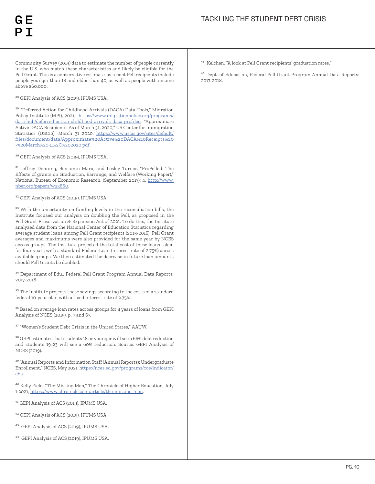Community Survey (2019) data to estimate the number of people currently in the U.S. who match these characteristics and likely be eligible for the Pell Grant. This is a conservative estimate, as recent Pell recipients include people younger than 18 and older than 40, as well as people with income above \$60,000.

<sup>28</sup> GEPI Analysis of ACS (2019), IPUMS USA.

<sup>29</sup> "Deferred Action for Childhood Arrivals (DACA) Data Tools," Migration Policy Institute (MPI), 2021, https://www.migrationpolicy.org/programs/ data-hub/deferred-action-childhood-arrivals-daca-profiles; "Approximate Active DACA Recipients: As of March 31, 2020," US Center for Immigration Statistics (USCIS), March 31 2020, https://www.uscis.gov/sites/default/ files/document/data/Approximate%20Active%20DACA%20Receipts%20 -%20March%2031%2C%202020.pdf.

<sup>30</sup> GEPI Analysis of ACS (2019), IPUMS USA.

<sup>31</sup> Jeffrey Denning, Benjamin Marx, and Lesley Turner, "ProPelled: The Effects of grants on Graduation, Earnings, and Welfare (Working Paper)," National Bureau of Economic Research, (September 2017): 4. http://www. nber.org/papers/w23860.

<sup>32</sup> GEPI Analysis of ACS (2019), IPUMS USA.

 $^\mathrm{33}$  With the uncertainty on funding levels in the reconciliation bills, the Institute focused our analysis on doubling the Pell, as proposed in the Pell Grant Preservation & Expansion Act of 2021. To do this, the Institute analyzed data from the National Center of Education Statistics regarding average student loans among Pell Grant recipients (2015-2016). Pell Grant averages and maximums were also provided for the same year by NCES across groups. The Institute projected the total cost of these loans taken for four years with a standard Federal Loan (interest rate of 2.75%) across available groups. We then estimated the decrease in future loan amounts should Pell Grants be doubled.

 $^{\rm 34}$  Department of Edu., Federal Pell Grant Program Annual Data Reports: 2017-2018.

<sup>35</sup> The Institute projects these savings according to the costs of a standard federal 10-year plan with a fixed interest rate of 2.75%.

<sup>36</sup> Based on average loan rates across groups for 4 years of loans from GEPI Analysis of NCES (2019), p. 7 and 67.

 $^{37}$  "Women's Student Debt Crisis in the United States," AAUW.

<sup>38</sup> GEPI estimates that students 18 or younger will see a 66% debt reduction and students 19-23 will see a 60% reduction. Source: GEPI Analysis of NCES (2019).

<sup>39</sup> "Annual Reports and Information Staff (Annual Reports): Undergraduate Enrollment," NCES, May 2021, https://nces.ed.gov/programs/coe/indicator/ cha.

<sup>40</sup> Kelly Field, "The Missing Men," The Chronicle of Higher Education, July 1 2021, https://www.chronicle.com/article/the-missing-men.

<sup>41</sup> GEPI Analysis of ACS (2019), IPUMS USA.

- <sup>42</sup> GEPI Analysis of ACS (2019), IPUMS USA.
- <sup>43</sup> GEPI Analysis of ACS (2019), IPUMS USA.
- <sup>44</sup> GEPI Analysis of ACS (2019), IPUMS USA.

<sup>45</sup> Kelchen, "A look at Pell Grant recipients' graduation rates."

<sup>46</sup> Dept. of Education, Federal Pell Grant Program Annual Data Reports: 2017-2018.